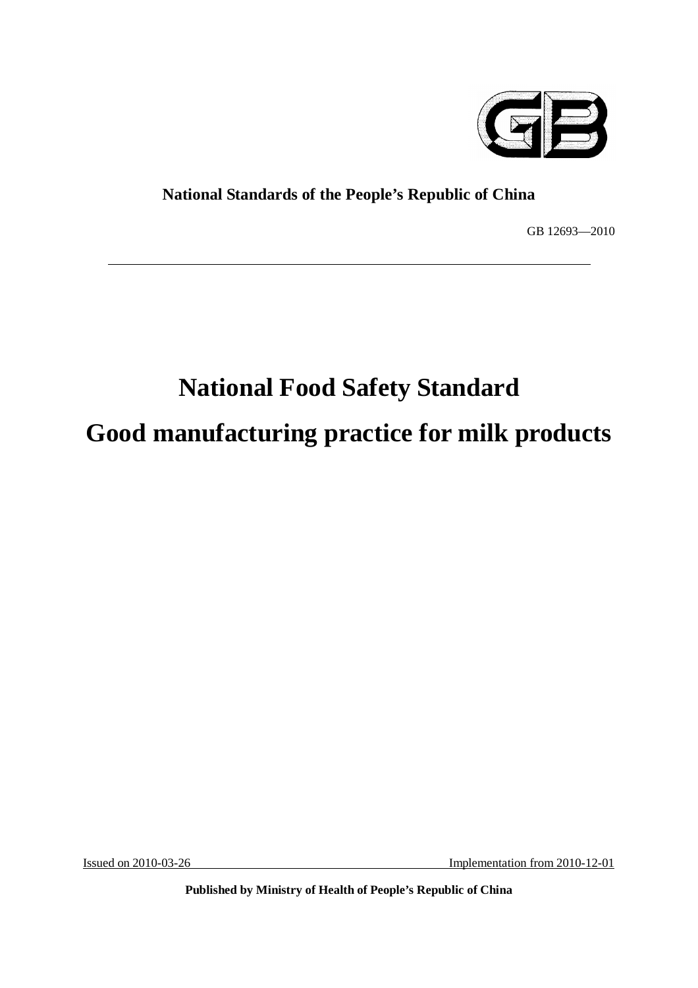

# **National Standards of the People's Republic of China**

GB 12693—2010

# **National Food Safety Standard Good manufacturing practice for milk products**

Issued on 2010-03-26 Implementation from 2010-12-01

**Published by Ministry of Health of People's Republic of China**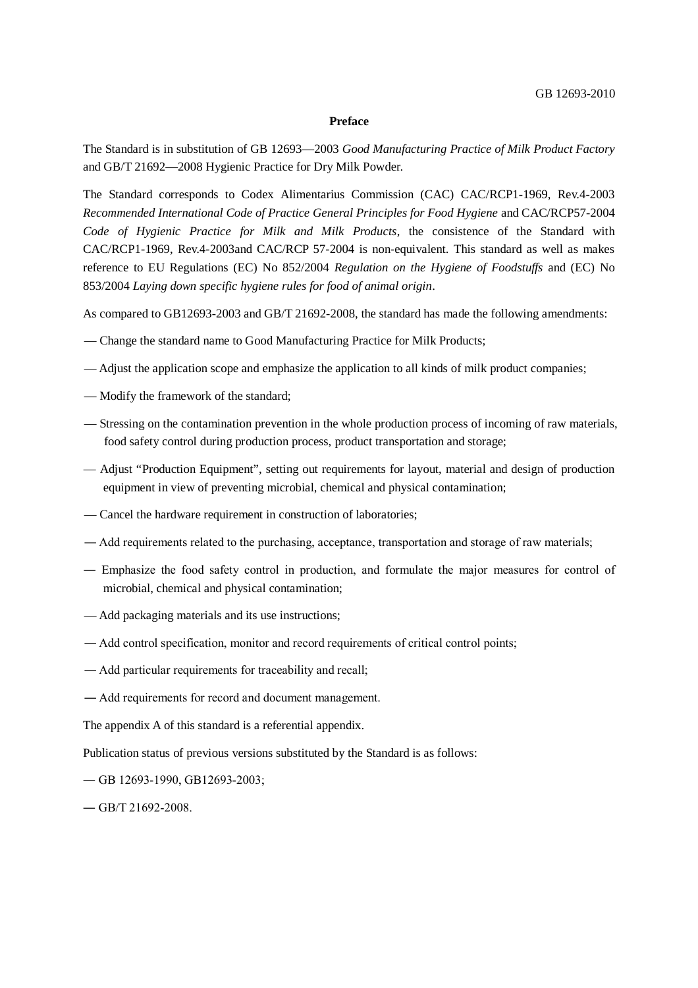#### **Preface**

The Standard is in substitution of GB 12693—2003 *Good Manufacturing Practice of Milk Product Factory* and GB/T 21692—2008 Hygienic Practice for Dry Milk Powder.

The Standard corresponds to Codex Alimentarius Commission (CAC) CAC/RCP1-1969, Rev.4-2003 *Recommended International Code of Practice General Principles for Food Hygiene* and CAC/RCP57-2004 *Code of Hygienic Practice for Milk and Milk Products*, the consistence of the Standard with CAC/RCP1-1969, Rev.4-2003and CAC/RCP 57-2004 is non-equivalent. This standard as well as makes reference to EU Regulations (EC) No 852/2004 *Regulation on the Hygiene of Foodstuffs* and (EC) No 853/2004 *Laying down specific hygiene rules for food of animal origin*.

As compared to GB12693-2003 and GB/T 21692-2008, the standard has made the following amendments:

- Change the standard name to Good Manufacturing Practice for Milk Products;
- Adjust the application scope and emphasize the application to all kinds of milk product companies;
- Modify the framework of the standard;
- Stressing on the contamination prevention in the whole production process of incoming of raw materials, food safety control during production process, product transportation and storage;
- Adjust "Production Equipment", setting out requirements for layout, material and design of production equipment in view of preventing microbial, chemical and physical contamination;
- Cancel the hardware requirement in construction of laboratories;
- ― Add requirements related to the purchasing, acceptance, transportation and storage of raw materials;
- ― Emphasize the food safety control in production, and formulate the major measures for control of microbial, chemical and physical contamination;
- Add packaging materials and its use instructions;
- ― Add control specification, monitor and record requirements of critical control points;
- ― Add particular requirements for traceability and recall;
- ― Add requirements for record and document management.

The appendix A of this standard is a referential appendix.

Publication status of previous versions substituted by the Standard is as follows:

- ― GB 12693-1990, GB12693-2003;
- $-$  GB/T 21692-2008.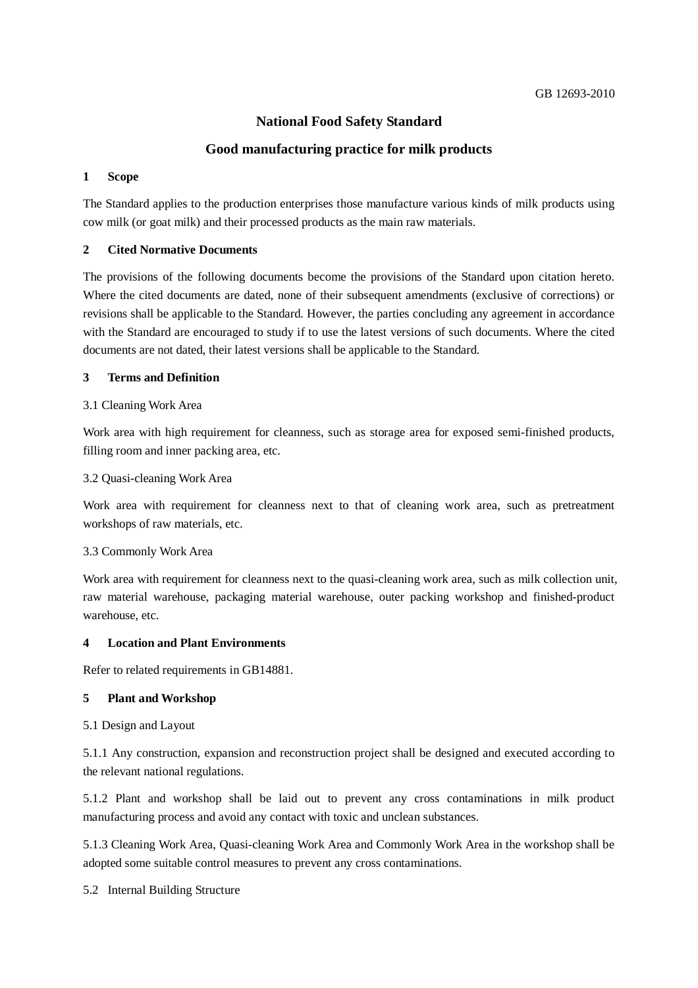# **National Food Safety Standard**

# **Good manufacturing practice for milk products**

#### **1 Scope**

The Standard applies to the production enterprises those manufacture various kinds of milk products using cow milk (or goat milk) and their processed products as the main raw materials.

#### **2 Cited Normative Documents**

The provisions of the following documents become the provisions of the Standard upon citation hereto. Where the cited documents are dated, none of their subsequent amendments (exclusive of corrections) or revisions shall be applicable to the Standard. However, the parties concluding any agreement in accordance with the Standard are encouraged to study if to use the latest versions of such documents. Where the cited documents are not dated, their latest versions shall be applicable to the Standard.

#### **3 Terms and Definition**

#### 3.1 Cleaning Work Area

Work area with high requirement for cleanness, such as storage area for exposed semi-finished products, filling room and inner packing area, etc.

#### 3.2 Quasi-cleaning Work Area

Work area with requirement for cleanness next to that of cleaning work area, such as pretreatment workshops of raw materials, etc.

#### 3.3 Commonly Work Area

Work area with requirement for cleanness next to the quasi-cleaning work area, such as milk collection unit, raw material warehouse, packaging material warehouse, outer packing workshop and finished-product warehouse, etc.

#### **4 Location and Plant Environments**

Refer to related requirements in GB14881.

#### **5 Plant and Workshop**

#### 5.1 Design and Layout

5.1.1 Any construction, expansion and reconstruction project shall be designed and executed according to the relevant national regulations.

5.1.2 Plant and workshop shall be laid out to prevent any cross contaminations in milk product manufacturing process and avoid any contact with toxic and unclean substances.

5.1.3 Cleaning Work Area, Quasi-cleaning Work Area and Commonly Work Area in the workshop shall be adopted some suitable control measures to prevent any cross contaminations.

5.2 Internal Building Structure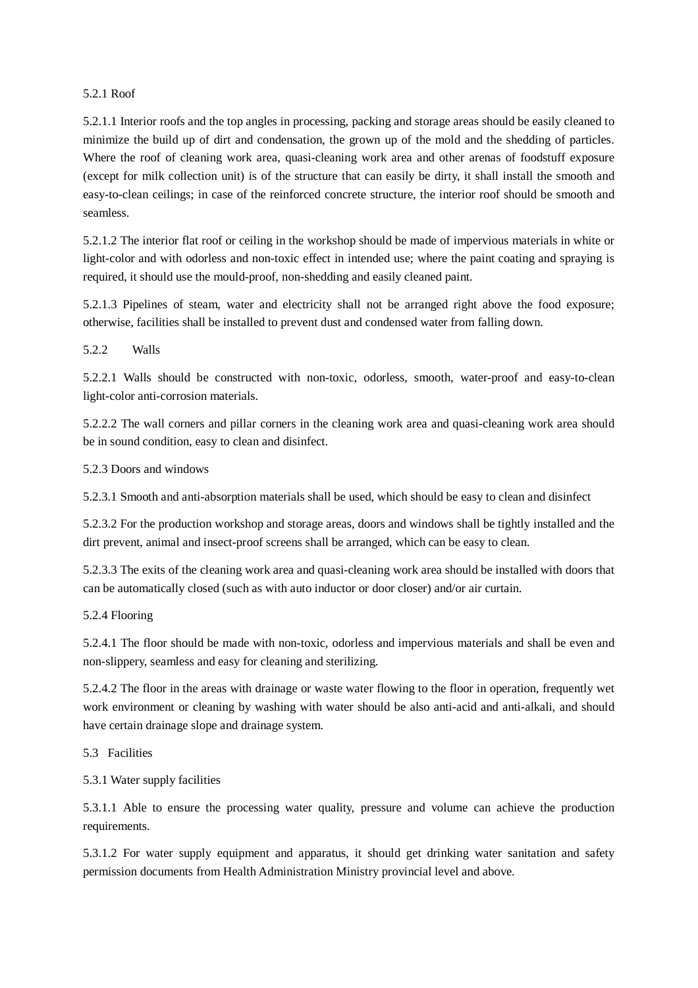#### 5.2.1 Roof

5.2.1.1 Interior roofs and the top angles in processing, packing and storage areas should be easily cleaned to minimize the build up of dirt and condensation, the grown up of the mold and the shedding of particles. Where the roof of cleaning work area, quasi-cleaning work area and other arenas of foodstuff exposure (except for milk collection unit) is of the structure that can easily be dirty, it shall install the smooth and easy-to-clean ceilings; in case of the reinforced concrete structure, the interior roof should be smooth and seamless.

5.2.1.2 The interior flat roof or ceiling in the workshop should be made of impervious materials in white or light-color and with odorless and non-toxic effect in intended use; where the paint coating and spraying is required, it should use the mould-proof, non-shedding and easily cleaned paint.

5.2.1.3 Pipelines of steam, water and electricity shall not be arranged right above the food exposure; otherwise, facilities shall be installed to prevent dust and condensed water from falling down.

5.2.2 Walls

5.2.2.1 Walls should be constructed with non-toxic, odorless, smooth, water-proof and easy-to-clean light-color anti-corrosion materials.

5.2.2.2 The wall corners and pillar corners in the cleaning work area and quasi-cleaning work area should be in sound condition, easy to clean and disinfect.

5.2.3 Doors and windows

5.2.3.1 Smooth and anti-absorption materials shall be used, which should be easy to clean and disinfect

5.2.3.2 For the production workshop and storage areas, doors and windows shall be tightly installed and the dirt prevent, animal and insect-proof screens shall be arranged, which can be easy to clean.

5.2.3.3 The exits of the cleaning work area and quasi-cleaning work area should be installed with doors that can be automatically closed (such as with auto inductor or door closer) and/or air curtain.

5.2.4 Flooring

5.2.4.1 The floor should be made with non-toxic, odorless and impervious materials and shall be even and non-slippery, seamless and easy for cleaning and sterilizing.

5.2.4.2 The floor in the areas with drainage or waste water flowing to the floor in operation, frequently wet work environment or cleaning by washing with water should be also anti-acid and anti-alkali, and should have certain drainage slope and drainage system.

5.3 Facilities

5.3.1 Water supply facilities

5.3.1.1 Able to ensure the processing water quality, pressure and volume can achieve the production requirements.

5.3.1.2 For water supply equipment and apparatus, it should get drinking water sanitation and safety permission documents from Health Administration Ministry provincial level and above.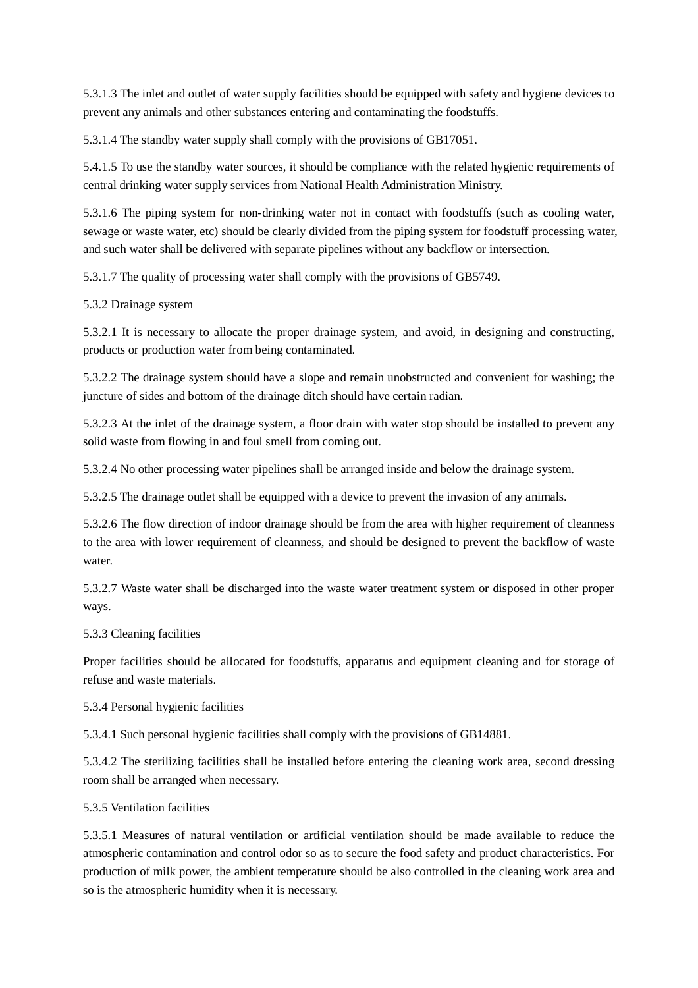5.3.1.3 The inlet and outlet of water supply facilities should be equipped with safety and hygiene devices to prevent any animals and other substances entering and contaminating the foodstuffs.

5.3.1.4 The standby water supply shall comply with the provisions of GB17051.

5.4.1.5 To use the standby water sources, it should be compliance with the related hygienic requirements of central drinking water supply services from National Health Administration Ministry.

5.3.1.6 The piping system for non-drinking water not in contact with foodstuffs (such as cooling water, sewage or waste water, etc) should be clearly divided from the piping system for foodstuff processing water, and such water shall be delivered with separate pipelines without any backflow or intersection.

5.3.1.7 The quality of processing water shall comply with the provisions of GB5749.

5.3.2 Drainage system

5.3.2.1 It is necessary to allocate the proper drainage system, and avoid, in designing and constructing, products or production water from being contaminated.

5.3.2.2 The drainage system should have a slope and remain unobstructed and convenient for washing; the juncture of sides and bottom of the drainage ditch should have certain radian.

5.3.2.3 At the inlet of the drainage system, a floor drain with water stop should be installed to prevent any solid waste from flowing in and foul smell from coming out.

5.3.2.4 No other processing water pipelines shall be arranged inside and below the drainage system.

5.3.2.5 The drainage outlet shall be equipped with a device to prevent the invasion of any animals.

5.3.2.6 The flow direction of indoor drainage should be from the area with higher requirement of cleanness to the area with lower requirement of cleanness, and should be designed to prevent the backflow of waste water.

5.3.2.7 Waste water shall be discharged into the waste water treatment system or disposed in other proper ways.

#### 5.3.3 Cleaning facilities

Proper facilities should be allocated for foodstuffs, apparatus and equipment cleaning and for storage of refuse and waste materials.

5.3.4 Personal hygienic facilities

5.3.4.1 Such personal hygienic facilities shall comply with the provisions of GB14881.

5.3.4.2 The sterilizing facilities shall be installed before entering the cleaning work area, second dressing room shall be arranged when necessary.

#### 5.3.5 Ventilation facilities

5.3.5.1 Measures of natural ventilation or artificial ventilation should be made available to reduce the atmospheric contamination and control odor so as to secure the food safety and product characteristics. For production of milk power, the ambient temperature should be also controlled in the cleaning work area and so is the atmospheric humidity when it is necessary.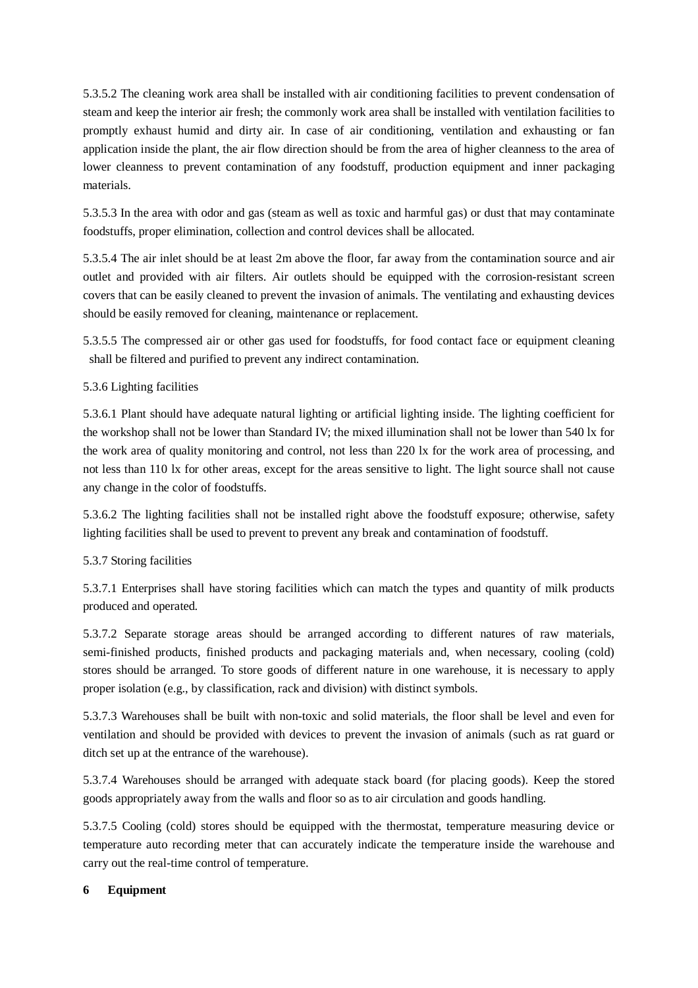5.3.5.2 The cleaning work area shall be installed with air conditioning facilities to prevent condensation of steam and keep the interior air fresh; the commonly work area shall be installed with ventilation facilities to promptly exhaust humid and dirty air. In case of air conditioning, ventilation and exhausting or fan application inside the plant, the air flow direction should be from the area of higher cleanness to the area of lower cleanness to prevent contamination of any foodstuff, production equipment and inner packaging materials.

5.3.5.3 In the area with odor and gas (steam as well as toxic and harmful gas) or dust that may contaminate foodstuffs, proper elimination, collection and control devices shall be allocated.

5.3.5.4 The air inlet should be at least 2m above the floor, far away from the contamination source and air outlet and provided with air filters. Air outlets should be equipped with the corrosion-resistant screen covers that can be easily cleaned to prevent the invasion of animals. The ventilating and exhausting devices should be easily removed for cleaning, maintenance or replacement.

5.3.5.5 The compressed air or other gas used for foodstuffs, for food contact face or equipment cleaning shall be filtered and purified to prevent any indirect contamination.

5.3.6 Lighting facilities

5.3.6.1 Plant should have adequate natural lighting or artificial lighting inside. The lighting coefficient for the workshop shall not be lower than Standard IV; the mixed illumination shall not be lower than 540 lx for the work area of quality monitoring and control, not less than 220 lx for the work area of processing, and not less than 110 lx for other areas, except for the areas sensitive to light. The light source shall not cause any change in the color of foodstuffs.

5.3.6.2 The lighting facilities shall not be installed right above the foodstuff exposure; otherwise, safety lighting facilities shall be used to prevent to prevent any break and contamination of foodstuff.

#### 5.3.7 Storing facilities

5.3.7.1 Enterprises shall have storing facilities which can match the types and quantity of milk products produced and operated.

5.3.7.2 Separate storage areas should be arranged according to different natures of raw materials, semi-finished products, finished products and packaging materials and, when necessary, cooling (cold) stores should be arranged. To store goods of different nature in one warehouse, it is necessary to apply proper isolation (e.g., by classification, rack and division) with distinct symbols.

5.3.7.3 Warehouses shall be built with non-toxic and solid materials, the floor shall be level and even for ventilation and should be provided with devices to prevent the invasion of animals (such as rat guard or ditch set up at the entrance of the warehouse).

5.3.7.4 Warehouses should be arranged with adequate stack board (for placing goods). Keep the stored goods appropriately away from the walls and floor so as to air circulation and goods handling.

5.3.7.5 Cooling (cold) stores should be equipped with the thermostat, temperature measuring device or temperature auto recording meter that can accurately indicate the temperature inside the warehouse and carry out the real-time control of temperature.

#### **6 Equipment**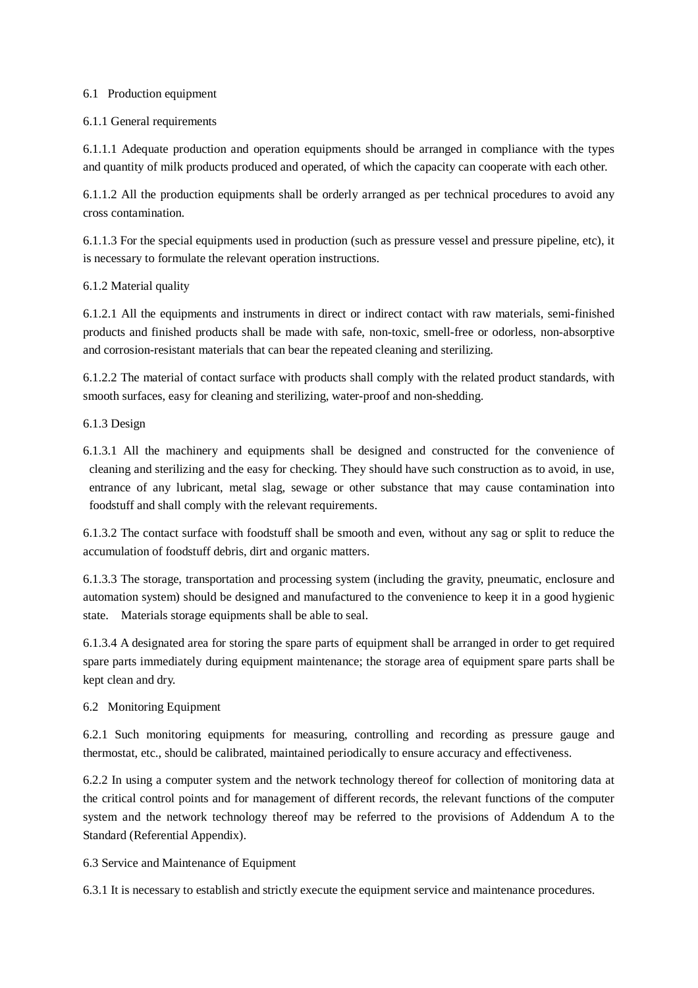#### 6.1 Production equipment

#### 6.1.1 General requirements

6.1.1.1 Adequate production and operation equipments should be arranged in compliance with the types and quantity of milk products produced and operated, of which the capacity can cooperate with each other.

6.1.1.2 All the production equipments shall be orderly arranged as per technical procedures to avoid any cross contamination.

6.1.1.3 For the special equipments used in production (such as pressure vessel and pressure pipeline, etc), it is necessary to formulate the relevant operation instructions.

#### 6.1.2 Material quality

6.1.2.1 All the equipments and instruments in direct or indirect contact with raw materials, semi-finished products and finished products shall be made with safe, non-toxic, smell-free or odorless, non-absorptive and corrosion-resistant materials that can bear the repeated cleaning and sterilizing.

6.1.2.2 The material of contact surface with products shall comply with the related product standards, with smooth surfaces, easy for cleaning and sterilizing, water-proof and non-shedding.

6.1.3 Design

6.1.3.1 All the machinery and equipments shall be designed and constructed for the convenience of cleaning and sterilizing and the easy for checking. They should have such construction as to avoid, in use, entrance of any lubricant, metal slag, sewage or other substance that may cause contamination into foodstuff and shall comply with the relevant requirements.

6.1.3.2 The contact surface with foodstuff shall be smooth and even, without any sag or split to reduce the accumulation of foodstuff debris, dirt and organic matters.

6.1.3.3 The storage, transportation and processing system (including the gravity, pneumatic, enclosure and automation system) should be designed and manufactured to the convenience to keep it in a good hygienic state. Materials storage equipments shall be able to seal.

6.1.3.4 A designated area for storing the spare parts of equipment shall be arranged in order to get required spare parts immediately during equipment maintenance; the storage area of equipment spare parts shall be kept clean and dry.

#### 6.2 Monitoring Equipment

6.2.1 Such monitoring equipments for measuring, controlling and recording as pressure gauge and thermostat, etc., should be calibrated, maintained periodically to ensure accuracy and effectiveness.

6.2.2 In using a computer system and the network technology thereof for collection of monitoring data at the critical control points and for management of different records, the relevant functions of the computer system and the network technology thereof may be referred to the provisions of Addendum A to the Standard (Referential Appendix).

#### 6.3 Service and Maintenance of Equipment

6.3.1 It is necessary to establish and strictly execute the equipment service and maintenance procedures.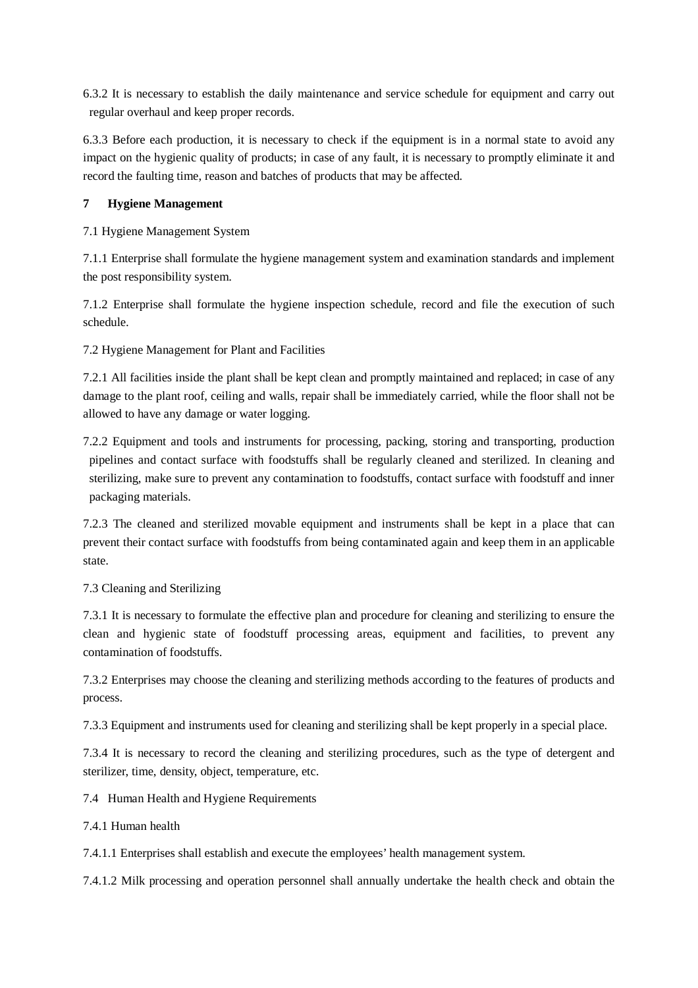6.3.2 It is necessary to establish the daily maintenance and service schedule for equipment and carry out regular overhaul and keep proper records.

6.3.3 Before each production, it is necessary to check if the equipment is in a normal state to avoid any impact on the hygienic quality of products; in case of any fault, it is necessary to promptly eliminate it and record the faulting time, reason and batches of products that may be affected.

# **7 Hygiene Management**

7.1 Hygiene Management System

7.1.1 Enterprise shall formulate the hygiene management system and examination standards and implement the post responsibility system.

7.1.2 Enterprise shall formulate the hygiene inspection schedule, record and file the execution of such schedule.

7.2 Hygiene Management for Plant and Facilities

7.2.1 All facilities inside the plant shall be kept clean and promptly maintained and replaced; in case of any damage to the plant roof, ceiling and walls, repair shall be immediately carried, while the floor shall not be allowed to have any damage or water logging.

7.2.2 Equipment and tools and instruments for processing, packing, storing and transporting, production pipelines and contact surface with foodstuffs shall be regularly cleaned and sterilized. In cleaning and sterilizing, make sure to prevent any contamination to foodstuffs, contact surface with foodstuff and inner packaging materials.

7.2.3 The cleaned and sterilized movable equipment and instruments shall be kept in a place that can prevent their contact surface with foodstuffs from being contaminated again and keep them in an applicable state.

# 7.3 Cleaning and Sterilizing

7.3.1 It is necessary to formulate the effective plan and procedure for cleaning and sterilizing to ensure the clean and hygienic state of foodstuff processing areas, equipment and facilities, to prevent any contamination of foodstuffs.

7.3.2 Enterprises may choose the cleaning and sterilizing methods according to the features of products and process.

7.3.3 Equipment and instruments used for cleaning and sterilizing shall be kept properly in a special place.

7.3.4 It is necessary to record the cleaning and sterilizing procedures, such as the type of detergent and sterilizer, time, density, object, temperature, etc.

7.4 Human Health and Hygiene Requirements

7.4.1 Human health

7.4.1.1 Enterprises shall establish and execute the employees' health management system.

7.4.1.2 Milk processing and operation personnel shall annually undertake the health check and obtain the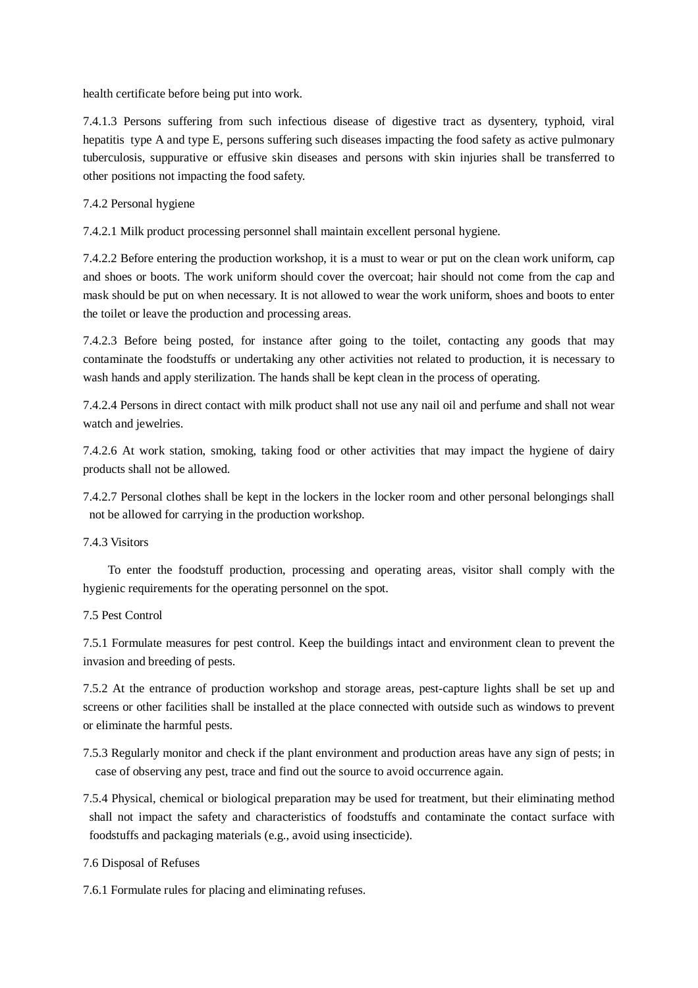health certificate before being put into work.

7.4.1.3 Persons suffering from such infectious disease of digestive tract as dysentery, typhoid, viral hepatitis type A and type E, persons suffering such diseases impacting the food safety as active pulmonary tuberculosis, suppurative or effusive skin diseases and persons with skin injuries shall be transferred to other positions not impacting the food safety.

7.4.2 Personal hygiene

7.4.2.1 Milk product processing personnel shall maintain excellent personal hygiene.

7.4.2.2 Before entering the production workshop, it is a must to wear or put on the clean work uniform, cap and shoes or boots. The work uniform should cover the overcoat; hair should not come from the cap and mask should be put on when necessary. It is not allowed to wear the work uniform, shoes and boots to enter the toilet or leave the production and processing areas.

7.4.2.3 Before being posted, for instance after going to the toilet, contacting any goods that may contaminate the foodstuffs or undertaking any other activities not related to production, it is necessary to wash hands and apply sterilization. The hands shall be kept clean in the process of operating.

7.4.2.4 Persons in direct contact with milk product shall not use any nail oil and perfume and shall not wear watch and jewelries.

7.4.2.6 At work station, smoking, taking food or other activities that may impact the hygiene of dairy products shall not be allowed.

7.4.2.7 Personal clothes shall be kept in the lockers in the locker room and other personal belongings shall not be allowed for carrying in the production workshop.

7.4.3 Visitors

To enter the foodstuff production, processing and operating areas, visitor shall comply with the hygienic requirements for the operating personnel on the spot.

7.5 Pest Control

7.5.1 Formulate measures for pest control. Keep the buildings intact and environment clean to prevent the invasion and breeding of pests.

7.5.2 At the entrance of production workshop and storage areas, pest-capture lights shall be set up and screens or other facilities shall be installed at the place connected with outside such as windows to prevent or eliminate the harmful pests.

7.5.3 Regularly monitor and check if the plant environment and production areas have any sign of pests; in case of observing any pest, trace and find out the source to avoid occurrence again.

7.5.4 Physical, chemical or biological preparation may be used for treatment, but their eliminating method shall not impact the safety and characteristics of foodstuffs and contaminate the contact surface with foodstuffs and packaging materials (e.g., avoid using insecticide).

7.6 Disposal of Refuses

7.6.1 Formulate rules for placing and eliminating refuses.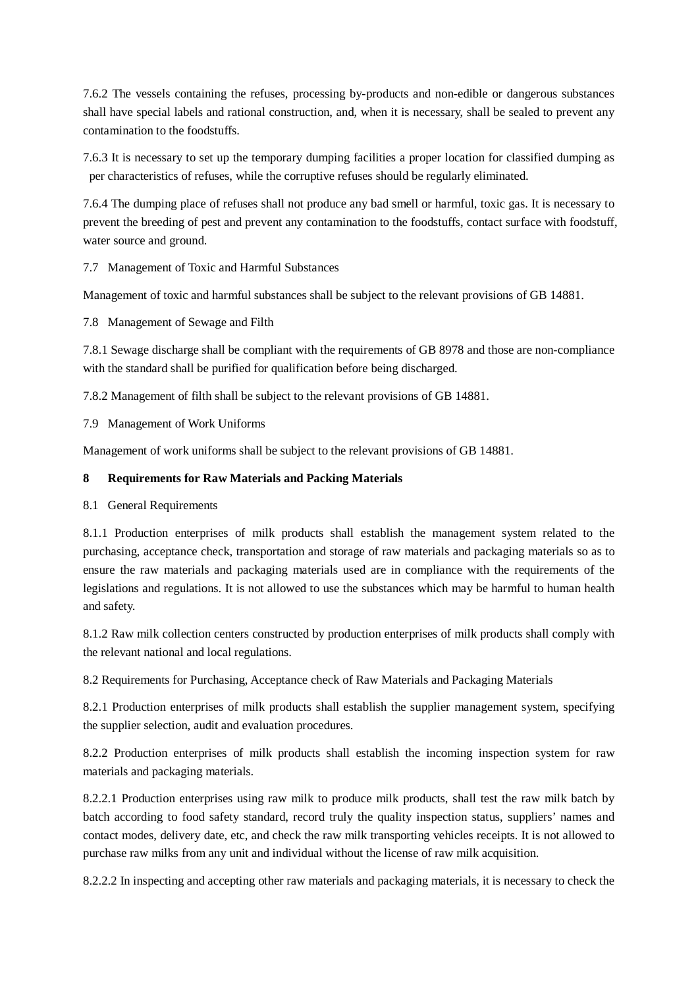7.6.2 The vessels containing the refuses, processing by-products and non-edible or dangerous substances shall have special labels and rational construction, and, when it is necessary, shall be sealed to prevent any contamination to the foodstuffs.

7.6.3 It is necessary to set up the temporary dumping facilities a proper location for classified dumping as per characteristics of refuses, while the corruptive refuses should be regularly eliminated.

7.6.4 The dumping place of refuses shall not produce any bad smell or harmful, toxic gas. It is necessary to prevent the breeding of pest and prevent any contamination to the foodstuffs, contact surface with foodstuff, water source and ground.

7.7 Management of Toxic and Harmful Substances

Management of toxic and harmful substances shall be subject to the relevant provisions of GB 14881.

7.8 Management of Sewage and Filth

7.8.1 Sewage discharge shall be compliant with the requirements of GB 8978 and those are non-compliance with the standard shall be purified for qualification before being discharged.

7.8.2 Management of filth shall be subject to the relevant provisions of GB 14881.

7.9 Management of Work Uniforms

Management of work uniforms shall be subject to the relevant provisions of GB 14881.

# **8 Requirements for Raw Materials and Packing Materials**

8.1 General Requirements

8.1.1 Production enterprises of milk products shall establish the management system related to the purchasing, acceptance check, transportation and storage of raw materials and packaging materials so as to ensure the raw materials and packaging materials used are in compliance with the requirements of the legislations and regulations. It is not allowed to use the substances which may be harmful to human health and safety.

8.1.2 Raw milk collection centers constructed by production enterprises of milk products shall comply with the relevant national and local regulations.

8.2 Requirements for Purchasing, Acceptance check of Raw Materials and Packaging Materials

8.2.1 Production enterprises of milk products shall establish the supplier management system, specifying the supplier selection, audit and evaluation procedures.

8.2.2 Production enterprises of milk products shall establish the incoming inspection system for raw materials and packaging materials.

8.2.2.1 Production enterprises using raw milk to produce milk products, shall test the raw milk batch by batch according to food safety standard, record truly the quality inspection status, suppliers' names and contact modes, delivery date, etc, and check the raw milk transporting vehicles receipts. It is not allowed to purchase raw milks from any unit and individual without the license of raw milk acquisition.

8.2.2.2 In inspecting and accepting other raw materials and packaging materials, it is necessary to check the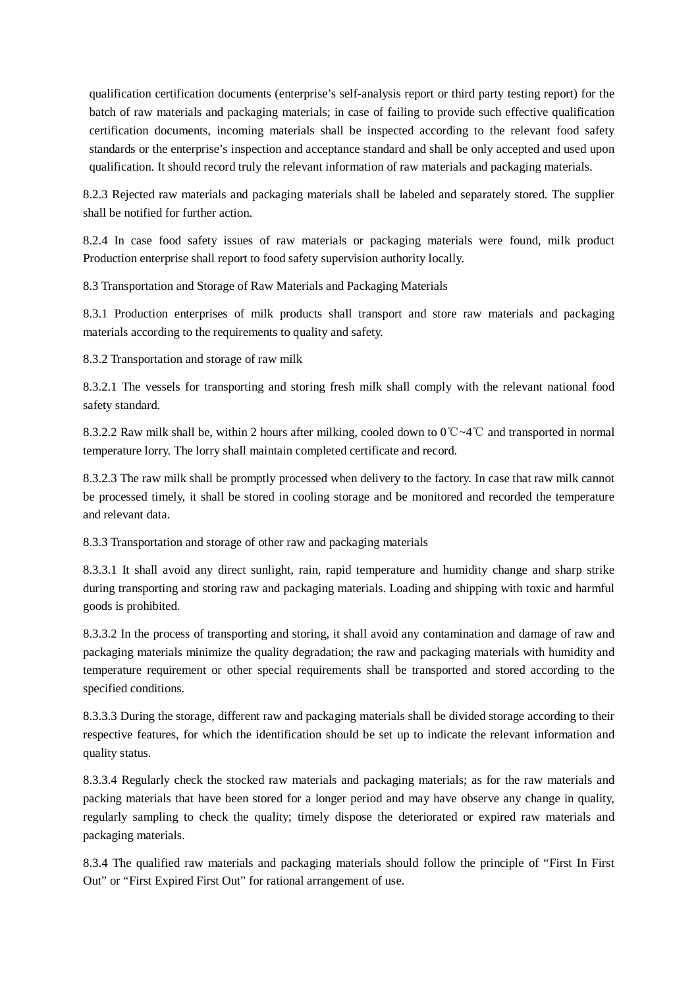qualification certification documents (enterprise's self-analysis report or third party testing report) for the batch of raw materials and packaging materials; in case of failing to provide such effective qualification certification documents, incoming materials shall be inspected according to the relevant food safety standards or the enterprise's inspection and acceptance standard and shall be only accepted and used upon qualification. It should record truly the relevant information of raw materials and packaging materials.

8.2.3 Rejected raw materials and packaging materials shall be labeled and separately stored. The supplier shall be notified for further action.

8.2.4 In case food safety issues of raw materials or packaging materials were found, milk product Production enterprise shall report to food safety supervision authority locally.

8.3 Transportation and Storage of Raw Materials and Packaging Materials

8.3.1 Production enterprises of milk products shall transport and store raw materials and packaging materials according to the requirements to quality and safety.

8.3.2 Transportation and storage of raw milk

8.3.2.1 The vessels for transporting and storing fresh milk shall comply with the relevant national food safety standard.

8.3.2.2 Raw milk shall be, within 2 hours after milking, cooled down to 0℃~4℃ and transported in normal temperature lorry. The lorry shall maintain completed certificate and record.

8.3.2.3 The raw milk shall be promptly processed when delivery to the factory. In case that raw milk cannot be processed timely, it shall be stored in cooling storage and be monitored and recorded the temperature and relevant data.

8.3.3 Transportation and storage of other raw and packaging materials

8.3.3.1 It shall avoid any direct sunlight, rain, rapid temperature and humidity change and sharp strike during transporting and storing raw and packaging materials. Loading and shipping with toxic and harmful goods is prohibited.

8.3.3.2 In the process of transporting and storing, it shall avoid any contamination and damage of raw and packaging materials minimize the quality degradation; the raw and packaging materials with humidity and temperature requirement or other special requirements shall be transported and stored according to the specified conditions.

8.3.3.3 During the storage, different raw and packaging materials shall be divided storage according to their respective features, for which the identification should be set up to indicate the relevant information and quality status.

8.3.3.4 Regularly check the stocked raw materials and packaging materials; as for the raw materials and packing materials that have been stored for a longer period and may have observe any change in quality, regularly sampling to check the quality; timely dispose the deteriorated or expired raw materials and packaging materials.

8.3.4 The qualified raw materials and packaging materials should follow the principle of "First In First Out" or "First Expired First Out" for rational arrangement of use.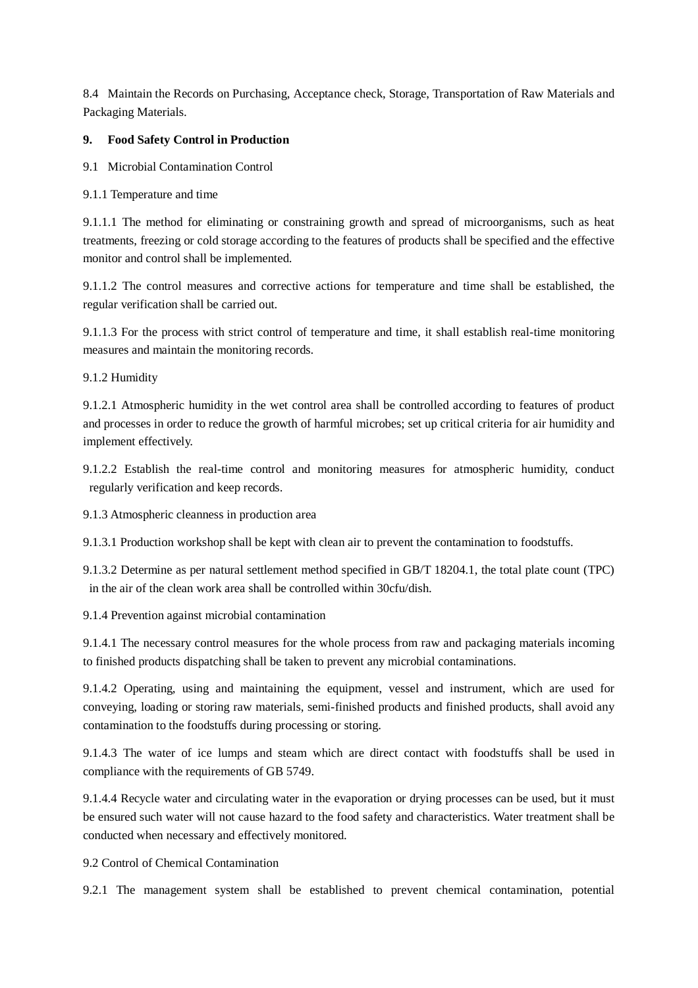8.4 Maintain the Records on Purchasing, Acceptance check, Storage, Transportation of Raw Materials and Packaging Materials.

#### **9. Food Safety Control in Production**

9.1 Microbial Contamination Control

9.1.1 Temperature and time

9.1.1.1 The method for eliminating or constraining growth and spread of microorganisms, such as heat treatments, freezing or cold storage according to the features of products shall be specified and the effective monitor and control shall be implemented.

9.1.1.2 The control measures and corrective actions for temperature and time shall be established, the regular verification shall be carried out.

9.1.1.3 For the process with strict control of temperature and time, it shall establish real-time monitoring measures and maintain the monitoring records.

9.1.2 Humidity

9.1.2.1 Atmospheric humidity in the wet control area shall be controlled according to features of product and processes in order to reduce the growth of harmful microbes; set up critical criteria for air humidity and implement effectively.

9.1.2.2 Establish the real-time control and monitoring measures for atmospheric humidity, conduct regularly verification and keep records.

9.1.3 Atmospheric cleanness in production area

9.1.3.1 Production workshop shall be kept with clean air to prevent the contamination to foodstuffs.

9.1.3.2 Determine as per natural settlement method specified in GB/T 18204.1, the total plate count (TPC) in the air of the clean work area shall be controlled within 30cfu/dish.

9.1.4 Prevention against microbial contamination

9.1.4.1 The necessary control measures for the whole process from raw and packaging materials incoming to finished products dispatching shall be taken to prevent any microbial contaminations.

9.1.4.2 Operating, using and maintaining the equipment, vessel and instrument, which are used for conveying, loading or storing raw materials, semi-finished products and finished products, shall avoid any contamination to the foodstuffs during processing or storing.

9.1.4.3 The water of ice lumps and steam which are direct contact with foodstuffs shall be used in compliance with the requirements of GB 5749.

9.1.4.4 Recycle water and circulating water in the evaporation or drying processes can be used, but it must be ensured such water will not cause hazard to the food safety and characteristics. Water treatment shall be conducted when necessary and effectively monitored.

9.2 Control of Chemical Contamination

9.2.1 The management system shall be established to prevent chemical contamination, potential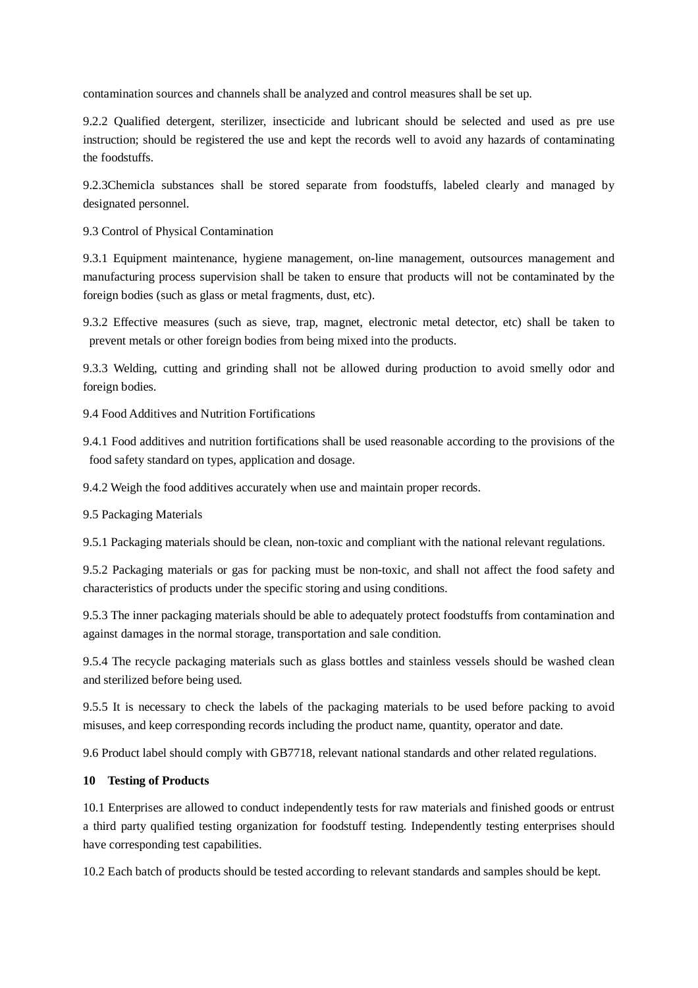contamination sources and channels shall be analyzed and control measures shall be set up.

9.2.2 Qualified detergent, sterilizer, insecticide and lubricant should be selected and used as pre use instruction; should be registered the use and kept the records well to avoid any hazards of contaminating the foodstuffs.

9.2.3Chemicla substances shall be stored separate from foodstuffs, labeled clearly and managed by designated personnel.

9.3 Control of Physical Contamination

9.3.1 Equipment maintenance, hygiene management, on-line management, outsources management and manufacturing process supervision shall be taken to ensure that products will not be contaminated by the foreign bodies (such as glass or metal fragments, dust, etc).

9.3.2 Effective measures (such as sieve, trap, magnet, electronic metal detector, etc) shall be taken to prevent metals or other foreign bodies from being mixed into the products.

9.3.3 Welding, cutting and grinding shall not be allowed during production to avoid smelly odor and foreign bodies.

9.4 Food Additives and Nutrition Fortifications

9.4.1 Food additives and nutrition fortifications shall be used reasonable according to the provisions of the food safety standard on types, application and dosage.

9.4.2 Weigh the food additives accurately when use and maintain proper records.

9.5 Packaging Materials

9.5.1 Packaging materials should be clean, non-toxic and compliant with the national relevant regulations.

9.5.2 Packaging materials or gas for packing must be non-toxic, and shall not affect the food safety and characteristics of products under the specific storing and using conditions.

9.5.3 The inner packaging materials should be able to adequately protect foodstuffs from contamination and against damages in the normal storage, transportation and sale condition.

9.5.4 The recycle packaging materials such as glass bottles and stainless vessels should be washed clean and sterilized before being used.

9.5.5 It is necessary to check the labels of the packaging materials to be used before packing to avoid misuses, and keep corresponding records including the product name, quantity, operator and date.

9.6 Product label should comply with GB7718, relevant national standards and other related regulations.

#### **10 Testing of Products**

10.1 Enterprises are allowed to conduct independently tests for raw materials and finished goods or entrust a third party qualified testing organization for foodstuff testing. Independently testing enterprises should have corresponding test capabilities.

10.2 Each batch of products should be tested according to relevant standards and samples should be kept.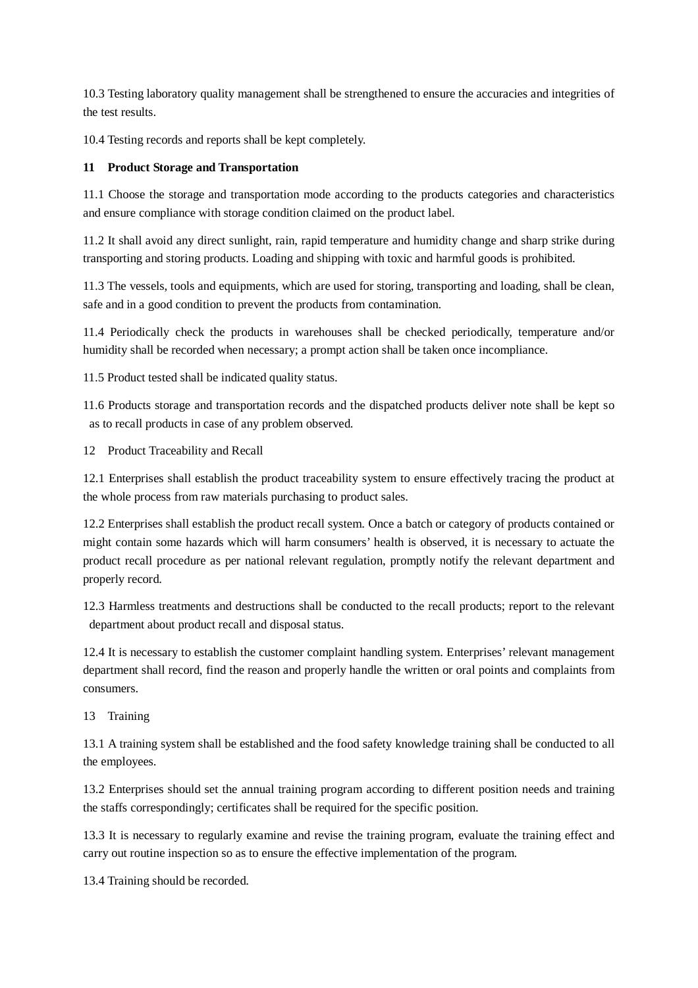10.3 Testing laboratory quality management shall be strengthened to ensure the accuracies and integrities of the test results.

10.4 Testing records and reports shall be kept completely.

# **11 Product Storage and Transportation**

11.1 Choose the storage and transportation mode according to the products categories and characteristics and ensure compliance with storage condition claimed on the product label.

11.2 It shall avoid any direct sunlight, rain, rapid temperature and humidity change and sharp strike during transporting and storing products. Loading and shipping with toxic and harmful goods is prohibited.

11.3 The vessels, tools and equipments, which are used for storing, transporting and loading, shall be clean, safe and in a good condition to prevent the products from contamination.

11.4 Periodically check the products in warehouses shall be checked periodically, temperature and/or humidity shall be recorded when necessary; a prompt action shall be taken once incompliance.

11.5 Product tested shall be indicated quality status.

11.6 Products storage and transportation records and the dispatched products deliver note shall be kept so as to recall products in case of any problem observed.

12 Product Traceability and Recall

12.1 Enterprises shall establish the product traceability system to ensure effectively tracing the product at the whole process from raw materials purchasing to product sales.

12.2 Enterprises shall establish the product recall system. Once a batch or category of products contained or might contain some hazards which will harm consumers' health is observed, it is necessary to actuate the product recall procedure as per national relevant regulation, promptly notify the relevant department and properly record.

12.3 Harmless treatments and destructions shall be conducted to the recall products; report to the relevant department about product recall and disposal status.

12.4 It is necessary to establish the customer complaint handling system. Enterprises' relevant management department shall record, find the reason and properly handle the written or oral points and complaints from consumers.

13 Training

13.1 A training system shall be established and the food safety knowledge training shall be conducted to all the employees.

13.2 Enterprises should set the annual training program according to different position needs and training the staffs correspondingly; certificates shall be required for the specific position.

13.3 It is necessary to regularly examine and revise the training program, evaluate the training effect and carry out routine inspection so as to ensure the effective implementation of the program.

13.4 Training should be recorded.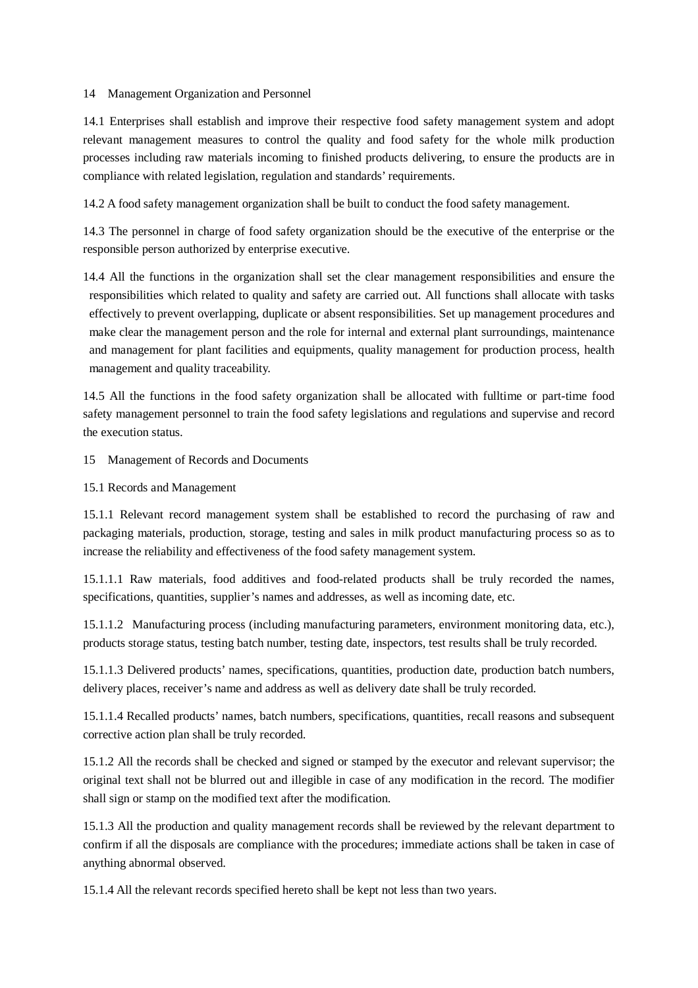#### 14 Management Organization and Personnel

14.1 Enterprises shall establish and improve their respective food safety management system and adopt relevant management measures to control the quality and food safety for the whole milk production processes including raw materials incoming to finished products delivering, to ensure the products are in compliance with related legislation, regulation and standards' requirements.

14.2 A food safety management organization shall be built to conduct the food safety management.

14.3 The personnel in charge of food safety organization should be the executive of the enterprise or the responsible person authorized by enterprise executive.

14.4 All the functions in the organization shall set the clear management responsibilities and ensure the responsibilities which related to quality and safety are carried out. All functions shall allocate with tasks effectively to prevent overlapping, duplicate or absent responsibilities. Set up management procedures and make clear the management person and the role for internal and external plant surroundings, maintenance and management for plant facilities and equipments, quality management for production process, health management and quality traceability.

14.5 All the functions in the food safety organization shall be allocated with fulltime or part-time food safety management personnel to train the food safety legislations and regulations and supervise and record the execution status.

15 Management of Records and Documents

15.1 Records and Management

15.1.1 Relevant record management system shall be established to record the purchasing of raw and packaging materials, production, storage, testing and sales in milk product manufacturing process so as to increase the reliability and effectiveness of the food safety management system.

15.1.1.1 Raw materials, food additives and food-related products shall be truly recorded the names, specifications, quantities, supplier's names and addresses, as well as incoming date, etc.

15.1.1.2 Manufacturing process (including manufacturing parameters, environment monitoring data, etc.), products storage status, testing batch number, testing date, inspectors, test results shall be truly recorded.

15.1.1.3 Delivered products' names, specifications, quantities, production date, production batch numbers, delivery places, receiver's name and address as well as delivery date shall be truly recorded.

15.1.1.4 Recalled products' names, batch numbers, specifications, quantities, recall reasons and subsequent corrective action plan shall be truly recorded.

15.1.2 All the records shall be checked and signed or stamped by the executor and relevant supervisor; the original text shall not be blurred out and illegible in case of any modification in the record. The modifier shall sign or stamp on the modified text after the modification.

15.1.3 All the production and quality management records shall be reviewed by the relevant department to confirm if all the disposals are compliance with the procedures; immediate actions shall be taken in case of anything abnormal observed.

15.1.4 All the relevant records specified hereto shall be kept not less than two years.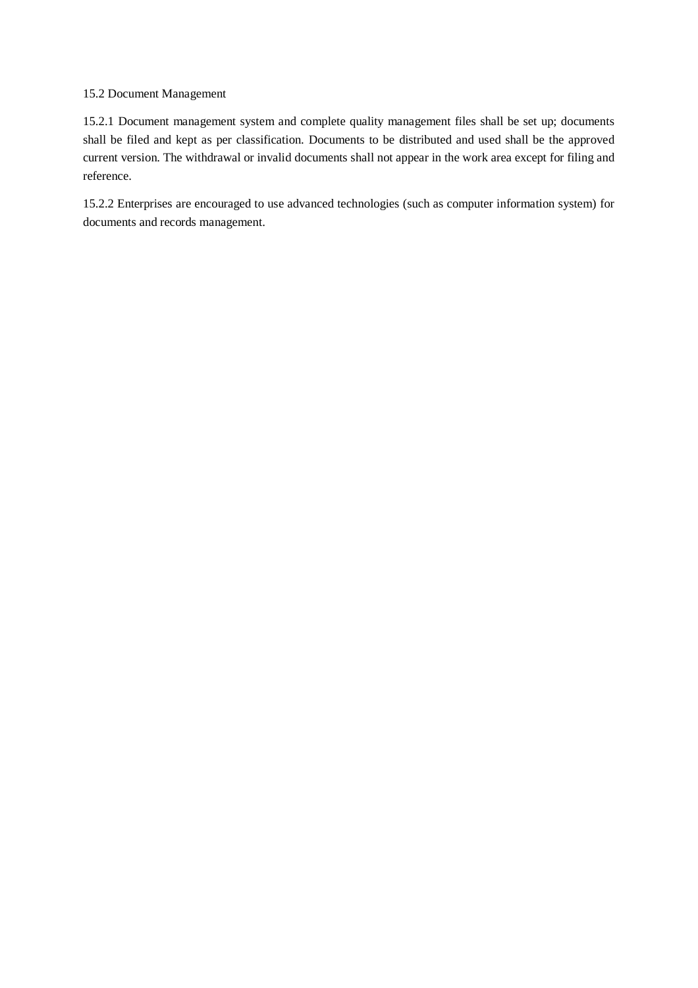#### 15.2 Document Management

15.2.1 Document management system and complete quality management files shall be set up; documents shall be filed and kept as per classification. Documents to be distributed and used shall be the approved current version. The withdrawal or invalid documents shall not appear in the work area except for filing and reference.

15.2.2 Enterprises are encouraged to use advanced technologies (such as computer information system) for documents and records management.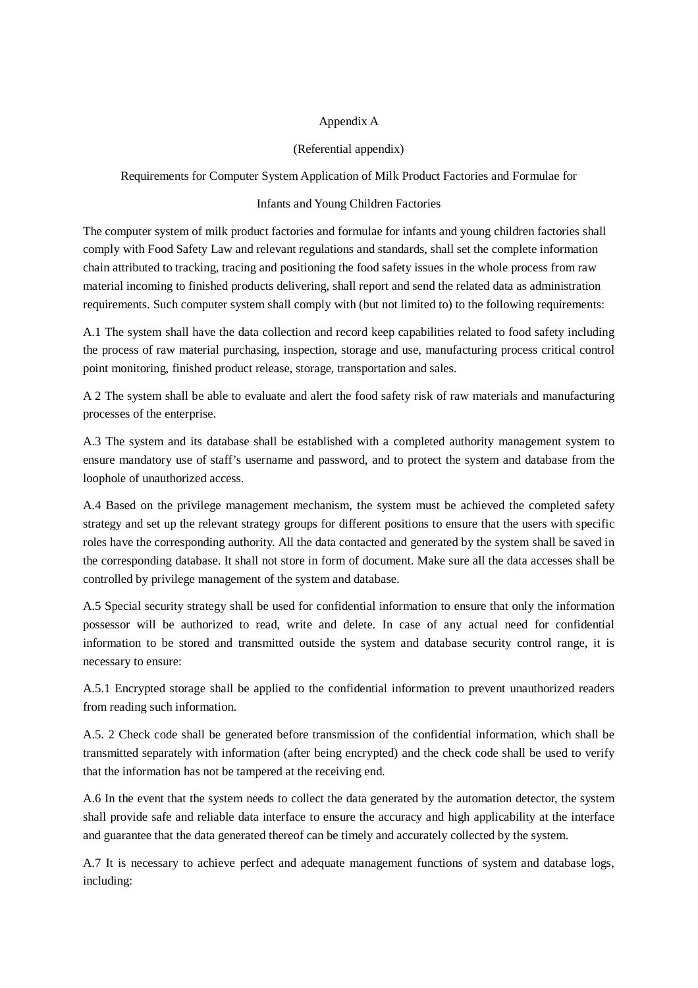#### Appendix A

#### (Referential appendix)

Requirements for Computer System Application of Milk Product Factories and Formulae for

#### Infants and Young Children Factories

The computer system of milk product factories and formulae for infants and young children factories shall comply with Food Safety Law and relevant regulations and standards, shall set the complete information chain attributed to tracking, tracing and positioning the food safety issues in the whole process from raw material incoming to finished products delivering, shall report and send the related data as administration requirements. Such computer system shall comply with (but not limited to) to the following requirements:

A.1 The system shall have the data collection and record keep capabilities related to food safety including the process of raw material purchasing, inspection, storage and use, manufacturing process critical control point monitoring, finished product release, storage, transportation and sales.

A 2 The system shall be able to evaluate and alert the food safety risk of raw materials and manufacturing processes of the enterprise.

A.3 The system and its database shall be established with a completed authority management system to ensure mandatory use of staff's username and password, and to protect the system and database from the loophole of unauthorized access.

A.4 Based on the privilege management mechanism, the system must be achieved the completed safety strategy and set up the relevant strategy groups for different positions to ensure that the users with specific roles have the corresponding authority. All the data contacted and generated by the system shall be saved in the corresponding database. It shall not store in form of document. Make sure all the data accesses shall be controlled by privilege management of the system and database.

A.5 Special security strategy shall be used for confidential information to ensure that only the information possessor will be authorized to read, write and delete. In case of any actual need for confidential information to be stored and transmitted outside the system and database security control range, it is necessary to ensure:

A.5.1 Encrypted storage shall be applied to the confidential information to prevent unauthorized readers from reading such information.

A.5. 2 Check code shall be generated before transmission of the confidential information, which shall be transmitted separately with information (after being encrypted) and the check code shall be used to verify that the information has not be tampered at the receiving end.

A.6 In the event that the system needs to collect the data generated by the automation detector, the system shall provide safe and reliable data interface to ensure the accuracy and high applicability at the interface and guarantee that the data generated thereof can be timely and accurately collected by the system.

A.7 It is necessary to achieve perfect and adequate management functions of system and database logs, including: